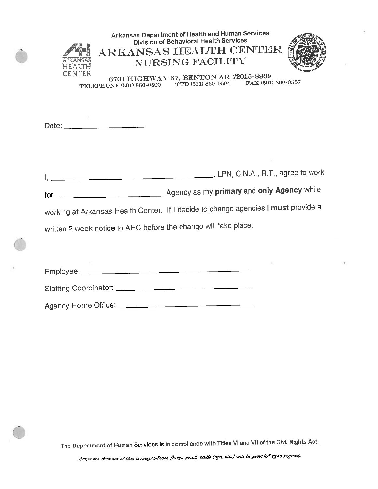| Arkansas Department of Health and Human Services<br><b>Division of Behavioral Health Services</b><br>ARKANSAS HEALTH CENTER<br><b>NURSING FACILITY</b><br><b>ARKANSAS</b><br>6701 HIGHWAY 67, BENTON AR 72015-8909<br>FAX (501) 860-0537<br>TTD (501) 860-0504<br>TELEPHONE (501) 860-0500 |
|--------------------------------------------------------------------------------------------------------------------------------------------------------------------------------------------------------------------------------------------------------------------------------------------|
|                                                                                                                                                                                                                                                                                            |
| I, LPN, C.N.A., R.T., agree to work                                                                                                                                                                                                                                                        |
|                                                                                                                                                                                                                                                                                            |
| working at Arkansas Health Center. If I decide to change agencies I must provide a                                                                                                                                                                                                         |
| written 2 week notice to AHC before the change will take place.                                                                                                                                                                                                                            |
|                                                                                                                                                                                                                                                                                            |
|                                                                                                                                                                                                                                                                                            |
| Staffing Coordinator:                                                                                                                                                                                                                                                                      |
|                                                                                                                                                                                                                                                                                            |

¥

The Department of Human Services is in compliance with Titles VI and VII of the Civil Rights Act.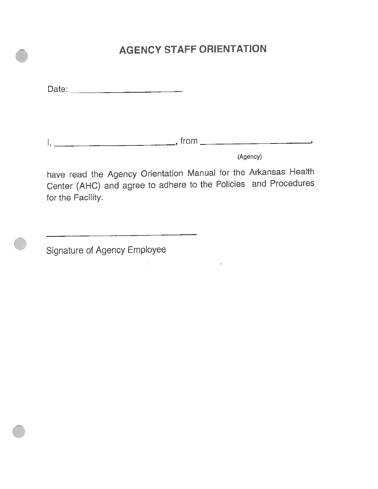### **AGENCY STAFF ORIENTATION**

Date: 2008

 $1, \underline{\hspace{1.5cm}}$ 

(Agency)

have read the Agency Orientation Manual for the Arkansas Health Center (AHC) and agree to adhere to the Policies and Procedures for the Facility.

Signature of Agency Employee

<u> 1980 - John Stein, mars and de Britain Born Stein Born Stein Born Stein Born Stein Born Stein Born Stein Born Stein Born Stein Born Stein Born Stein Born Stein Born Stein Born Stein Born Stein Born Stein Born Stein Born </u>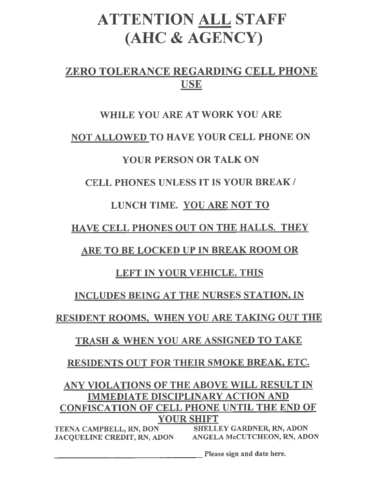# **ATTENTION ALL STAFF** (AHC & AGENCY)

### ZERO TOLERANCE REGARDING CELL PHONE **USE**

### WHILE YOU ARE AT WORK YOU ARE

### NOT ALLOWED TO HAVE YOUR CELL PHONE ON

### **YOUR PERSON OR TALK ON**

### **CELL PHONES UNLESS IT IS YOUR BREAK/**

### LUNCH TIME. YOU ARE NOT TO

### HAVE CELL PHONES OUT ON THE HALLS. THEY

### **ARE TO BE LOCKED UP IN BREAK ROOM OR**

### LEFT IN YOUR VEHICLE. THIS

### INCLUDES BEING AT THE NURSES STATION, IN

### RESIDENT ROOMS, WHEN YOU ARE TAKING OUT THE

### **TRASH & WHEN YOU ARE ASSIGNED TO TAKE**

### RESIDENTS OUT FOR THEIR SMOKE BREAK, ETC.

### ANY VIOLATIONS OF THE ABOVE WILL RESULT IN **IMMEDIATE DISCIPLINARY ACTION AND CONFISCATION OF CELL PHONE UNTIL THE END OF YOUR SHIFT**

TEENA CAMPBELL, RN, DON SHELLEY GARDNER, RN, ADON<br>JACQUELINE CREDIT, RN, ADON ANGELA McCUTCHEON, RN, ADON

**Please sign and date here.**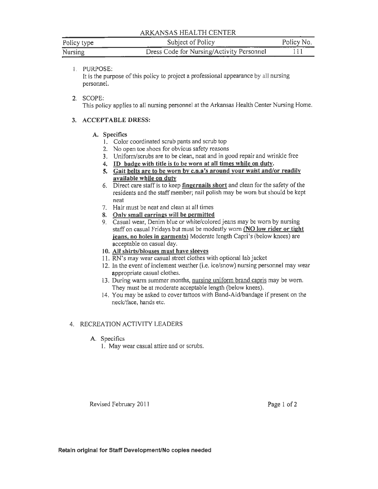#### ARKANSAS HEALTH CENTER

| Policy type | Subject of Policy<br>________             | Policy No. |
|-------------|-------------------------------------------|------------|
| Nursing     | Dress Code for Nursing/Activity Personnel |            |

#### 1. PURPOSE:

It is the purpose of this policy to project a professional appearance by all nursing personnel.

#### 2. SCOPE:

This policy applies to all nursing personnel at the Arkansas Health Center Nursing Home.

#### 3. ACCEPTABLE DRESS:

#### A. Specifics

- 1. Color coordinated scrub pants and scrub top
- 2. No open toe shoes for obvious safety reasons
- 3. Uniform/scrubs are to be clean, neat and in good repair and wrinkle free
- 4. ID badge with title is to be worn at all times while on duty.
- 5. Gait belts are to be worn by c.n.a's around your waist and/or readily available while on duty
- 6. Direct care staff is to keep fingernails short and clean for the safety of the residents and the staff member; nail polish may be worn but should be kept neat
- 7. Hair must be neat and clean at all times
- 8. Only small earrings will be permitted
- 9. Casual wear, Denim blue or white/colored jeans may be worn by nursing staff on casual Fridays but must be modestly worn (NO low rider or tight jeans, no holes in garments) Moderate length Capri's (below knees) are acceptable on casual day.

#### 10. All shirts/blouses must have sleeves

- 11. RN's may wear casual street clothes with optional lab jacket
- 12. In the event of inclement weather (i.e. ice/snow) nursing personnel may wear appropriate casual clothes.
- 13. During warm summer months, nursing uniform brand capris may be worn. They must be at moderate acceptable length (below knees).
- 14. You may be asked to cover tattoos with Band-Aid/bandage if present on the neck/face, hands etc.

#### 4. RECREATION ACTIVITY LEADERS

#### A. Specifics

1. May wear casual attire and or scrubs.

Revised February 2011

Page 1 of 2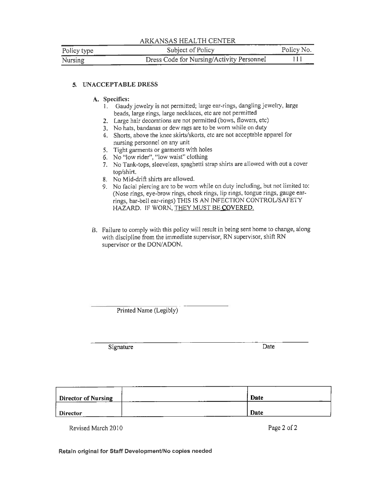|             | ARKANSAS HEALTH CENTER                    |            |
|-------------|-------------------------------------------|------------|
| Policy type | Subject of Policy                         | Policy No. |
| Nursing     | Dress Code for Nursing/Activity Personnel | 111        |

#### 5. UNACCEPTABLE DRESS

#### A. Specifics:

- 1. Gaudy jewelry is not permitted; large ear-rings, dangling jewelry, large beads, large rings, large necklaces, etc are not permitted
- 2. Large hair decorations are not permitted (bows, flowers, etc)
- 3. No hats, bandanas or dew rags are to be worn while on duty
- 4. Shorts, above the knee skirts/skorts, etc are not acceptable apparel for nursing personnel on any unit
- 5. Tight garments or garments with holes
- 6. No "low rider", "low waist" clothing
- 7. No Tank-tops, sleeveless, spaghetti strap shirts are allowed with out a cover top/shirt.
- 8. No Mid-drift shirts are allowed.
- 9. No facial piercing are to be worn while on duty including, but not limited to: (Nose rings, eye-brow rings, cheek rings, lip rings, tongue rings, gauge earrings, bar-bell ear-rings) THIS IS AN INFECTION CONTROL/SAFETY HAZARD. IF WORN, THEY MUST BE COVERED.
- B. Failure to comply with this policy will result in being sent home to change, along with discipline from the immediate supervisor, RN supervisor, shift RN supervisor or the DON/ADON.

Printed Name (Legibly)

Signature

Date

| Director of Nursing | Date |
|---------------------|------|
| <b>Director</b>     | Date |

Revised March 2010

Page 2 of 2

Retain original for Staff Development/No copies needed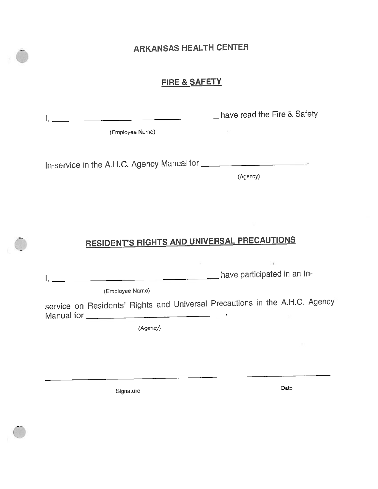### **ARKANSAS HEALTH CENTER**

#### FIRE & SAFETY

| have read the Fire & Safety |  |
|-----------------------------|--|
|                             |  |

(Employee Name)

(Agency)

## **RESIDENT'S RIGHTS AND UNIVERSAL PRECAUTIONS**

I, have participated in an In-

(Employee Name)

service on Residents' Rights and Universal Precautions in the A.H.C. Agency 

(Agency)

Signature

Date

 $-4$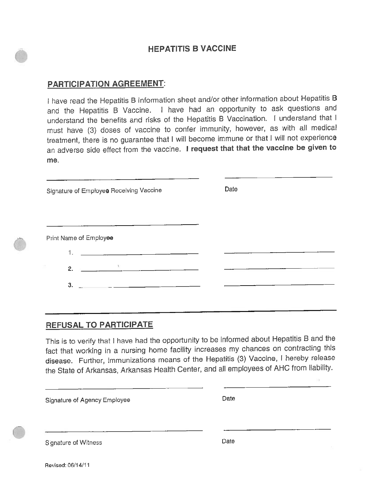#### **HEPATITIS B VACCINE**

#### **PARTICIPATION AGREEMENT:**

I have read the Hepatitis B information sheet and/or other information about Hepatitis B and the Hepatitis B Vaccine. I have had an opportunity to ask questions and understand the benefits and risks of the Hepatitis B Vaccination. I understand that I must have (3) doses of vaccine to confer immunity, however, as with all medical treatment, there is no guarantee that I will become immune or that I will not experience an adverse side effect from the vaccine. I request that that the vaccine be given to me.

| Signature of Employee Receiving Vaccine                                                                                                                                                                                                                                                        | Date |
|------------------------------------------------------------------------------------------------------------------------------------------------------------------------------------------------------------------------------------------------------------------------------------------------|------|
|                                                                                                                                                                                                                                                                                                |      |
| Print Name of Employee                                                                                                                                                                                                                                                                         |      |
|                                                                                                                                                                                                                                                                                                |      |
| 2. $\frac{1}{2}$ and $\frac{1}{2}$ and $\frac{1}{2}$ and $\frac{1}{2}$ and $\frac{1}{2}$ and $\frac{1}{2}$ and $\frac{1}{2}$ and $\frac{1}{2}$ and $\frac{1}{2}$ and $\frac{1}{2}$ and $\frac{1}{2}$ and $\frac{1}{2}$ and $\frac{1}{2}$ and $\frac{1}{2}$ and $\frac{1}{2}$ and $\frac{1}{2}$ |      |
| 3.                                                                                                                                                                                                                                                                                             |      |

#### **REFUSAL TO PARTICIPATE**

This is to verify that I have had the opportunity to be informed about Hepatitis B and the fact that working in a nursing home facility increases my chances on contracting this disease. Further, immunizations means of the Hepatitis (3) Vaccine, I hereby release the State of Arkansas, Arkansas Health Center, and all employees of AHC from liability.

Signature of Agency Employee

| ı |
|---|
|---|

Signature of Witness

Date

Revised: 06/14/11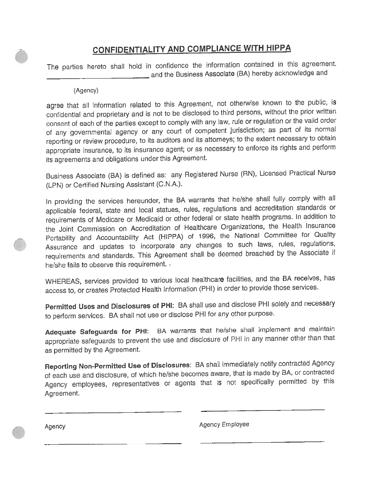### **CONFIDENTIALITY AND COMPLIANCE WITH HIPPA**

The parties hereto shall hold in confidence the information contained in this agreement. and the Business Associate (BA) hereby acknowledge and

#### (Agency)

agree that all information related to this Agreement, not otherwise known to the public, is confidential and proprietary and is not to be disclosed to third persons, without the prior written consent of each of the parties except to comply with any law, rule or regulation or the valid order of any governmental agency or any court of competent jurisdiction; as part of its normal reporting or review procedure, to its auditors and its attorneys; to the extent necessary to obtain appropriate insurance, to its insurance agent; or as necessary to enforce its rights and perform its agreements and obligations under this Agreement.

Business Associate (BA) is defined as: any Registered Nurse (RN), Licensed Practical Nurse (LPN) or Certified Nursing Assistant (C.N.A.).

In providing the services hereunder, the BA warrants that he/she shall fully comply with all applicable federal, state and local statues, rules, regulations and accreditation standards or requirements of Medicare or Medicaid or other federal or state health programs. In addition to the Joint Commission on Accreditation of Healthcare Organizations, the Health Insurance Portability and Accountability Act (HIPPA) of 1996, the National Committee for Quality Assurance and updates to incorporate any changes to such laws, rules, regulations, requirements and standards. This Agreement shall be deemed breached by the Associate if he/she fails to observe this requirement.

WHEREAS, services provided to various local healthcare facilities, and the BA receives, has access to, or creates Protected Health Information (PHI) in order to provide those services.

Permitted Uses and Disclosures of PHI: BA shall use and disclose PHI solely and necessary to perform services. BA shall not use or disclose PHI for any other purpose.

Adequate Safeguards for PHI: BA warrants that he/she shall implement and maintain appropriate safeguards to prevent the use and disclosure of PHI in any manner other than that as permitted by the Agreement.

Reporting Non-Permitted Use of Disclosures: BA shall immediately notify contracted Agency of each use and disclosure, of which he/she becomes aware, that is made by BA, or contracted Agency employees, representatives or agents that is not specifically permitted by this Agreement.

Agency

Agency Employee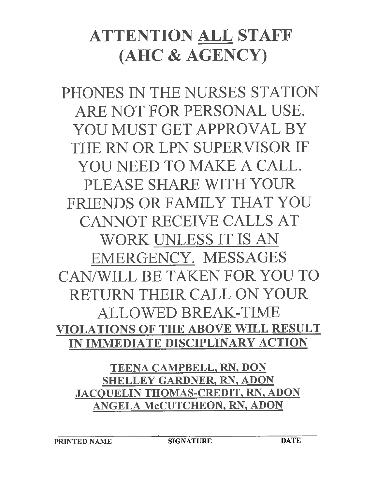# ATTENTION ALL STAFF (AHC & AGENCY)

PHONES IN THE NURSES STATION ARE NOT FOR PERSONAL USE. YOU MUST GET APPROVAL BY THE RN OR LPN SUPERVISOR IF YOU NEED TO MAKE A CALL. PLEASE SHARE WITH YOUR FRIENDS OR FAMILY THAT YOU **CANNOT RECEIVE CALLS AT** WORK UNLESS IT IS AN EMERGENCY. MESSAGES CAN/WILL BE TAKEN FOR YOU TO RETURN THEIR CALL ON YOUR **ALLOWED BREAK-TIME** VIOLATIONS OF THE ABOVE WILL RESULT IN IMMEDIATE DISCIPLINARY ACTION

TEENA CAMPBELL, RN, DON **SHELLEY GARDNER, RN, ADON JACQUELIN THOMAS-CREDIT, RN, ADON** ANGELA McCUTCHEON, RN, ADON

**SIGNATURE**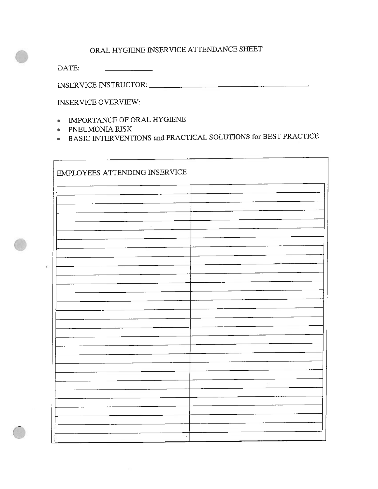#### ORAL HYGIENE INSERVICE ATTENDANCE SHEET

 $\text{DATE:}\n \begin{array}{ccc}\n \text{} & \text{}\n \end{array}$ 

**INSERVICE OVERVIEW:** 

- IMPORTANCE OF ORAL HYGIENE
- PNEUMONIA RISK
- BASIC INTERVENTIONS and PRACTICAL SOLUTIONS for BEST PRACTICE

| EMPLOYEES ATTENDING INSERVICE |
|-------------------------------|
|                               |
|                               |
|                               |
|                               |
|                               |
|                               |
|                               |
|                               |
|                               |
|                               |
|                               |
|                               |
|                               |
|                               |
|                               |
|                               |
|                               |
|                               |
|                               |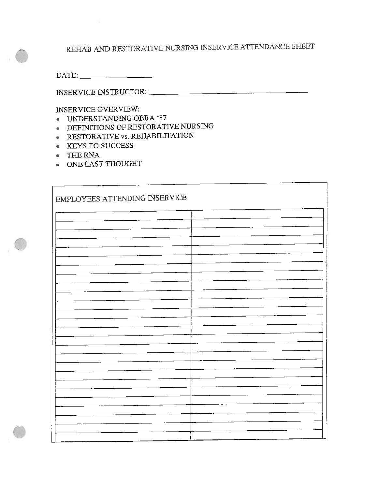REHAB AND RESTORATIVE NURSING INSERVICE ATTENDANCE SHEET

L,

 $\text{DATE:}\underbrace{\qquad \qquad \qquad }_{\text{DATE:}}\underbrace{\qquad \qquad }_{\text{DATE:}}$ 

**INSERVICE OVERVIEW:** 

- UNDERSTANDING OBRA '87
- **DEFINITIONS OF RESTORATIVE NURSING**
- RESTORATIVE vs. REHABILITATION
- KEYS TO SUCCESS
- THE RNA
- ONE LAST THOUGHT

| EMPLOYEES ATTENDING INSERVICE |  |
|-------------------------------|--|
|                               |  |
|                               |  |
|                               |  |
|                               |  |
|                               |  |
|                               |  |
|                               |  |
|                               |  |
|                               |  |
|                               |  |
|                               |  |
|                               |  |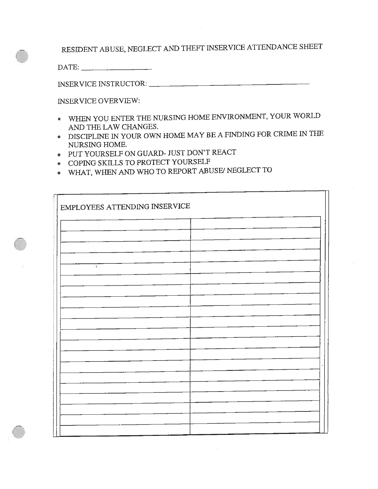RESIDENT ABUSE, NEGLECT AND THEFT INSERVICE ATTENDANCE SHEET

 $\text{DATE:}\n \begin{array}{ccc}\n \text{1} & \text{2} & \text{2} \\
\hline\n \text{2} & \text{3} & \text{2} \\
\text{3} & \text{4} & \text{3}\n \end{array}$ 

INSERVICE INSTRUCTOR:

**INSERVICE OVERVIEW:** 

- WHEN YOU ENTER THE NURSING HOME ENVIRONMENT, YOUR WORLD AND THE LAW CHANGES.
- DISCIPLINE IN YOUR OWN HOME MAY BE A FINDING FOR CRIME IN THE NURSING HOME.

 $\overline{\mathbf{L}}$ 

- PUT YOURSELF ON GUARD- JUST DON'T REACT
- COPING SKILLS TO PROTECT YOURSELF
- WHAT, WHEN AND WHO TO REPORT ABUSE/ NEGLECT TO

| EMPLOYEES ATTENDING INSERVICE |          |  |  |
|-------------------------------|----------|--|--|
| $\sim$                        |          |  |  |
|                               | $\alpha$ |  |  |
|                               |          |  |  |
| $\mathbf{t}$                  |          |  |  |
|                               |          |  |  |
|                               |          |  |  |
|                               |          |  |  |
|                               |          |  |  |
|                               |          |  |  |
|                               |          |  |  |
|                               |          |  |  |
|                               |          |  |  |
|                               |          |  |  |
|                               |          |  |  |
|                               |          |  |  |
|                               |          |  |  |
|                               |          |  |  |
|                               |          |  |  |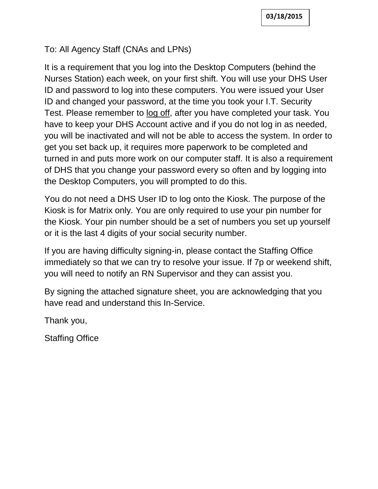### To: All Agency Staff (CNAs and LPNs)

It is a requirement that you log into the Desktop Computers (behind the Nurses Station) each week, on your first shift. You will use your DHS User ID and password to log into these computers. You were issued your User ID and changed your password, at the time you took your I.T. Security Test. Please remember to log off, after you have completed your task. You have to keep your DHS Account active and if you do not log in as needed, you will be inactivated and will not be able to access the system. In order to get you set back up, it requires more paperwork to be completed and turned in and puts more work on our computer staff. It is also a requirement of DHS that you change your password every so often and by logging into the Desktop Computers, you will prompted to do this.

You do not need a DHS User ID to log onto the Kiosk. The purpose of the Kiosk is for Matrix only. You are only required to use your pin number for the Kiosk. Your pin number should be a set of numbers you set up yourself or it is the last 4 digits of your social security number.

If you are having difficulty signing-in, please contact the Staffing Office immediately so that we can try to resolve your issue. If 7p or weekend shift, you will need to notify an RN Supervisor and they can assist you.

By signing the attached signature sheet, you are acknowledging that you have read and understand this In-Service.

Thank you,

Staffing Office